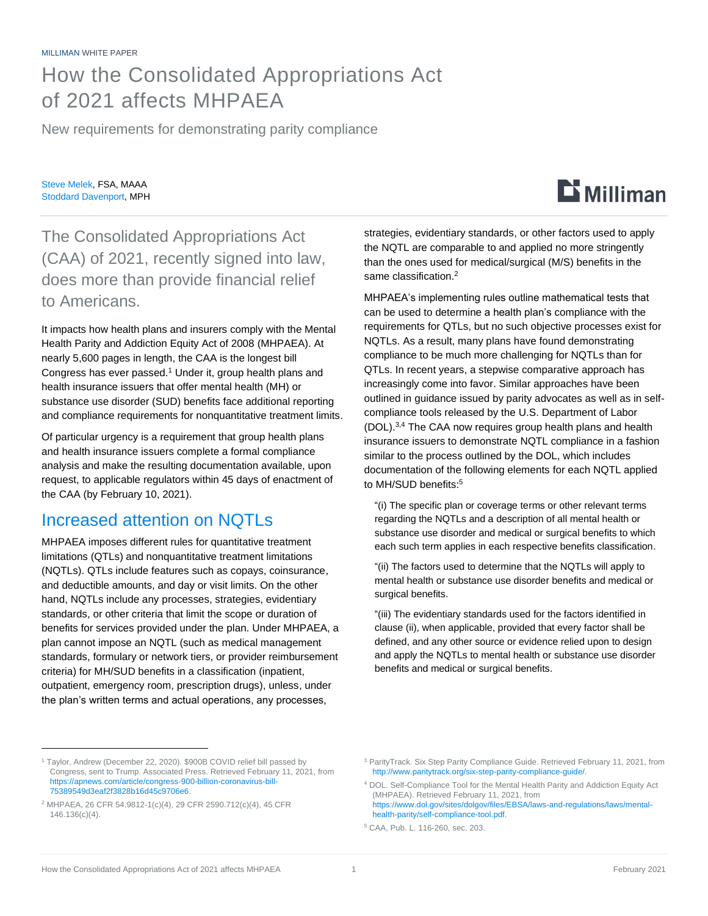### How the Consolidated Appropriations Act of 2021 affects MHPAEA

New requirements for demonstrating parity compliance

Steve Melek, FSA, MAAA Stoddard Davenport, MPH

# $\mathbf{D}$  Milliman

#### The Consolidated Appropriations Act (CAA) of 2021, recently signed into law, does more than provide financial relief to Americans.

It impacts how health plans and insurers comply with the Mental Health Parity and Addiction Equity Act of 2008 (MHPAEA). At nearly 5,600 pages in length, the CAA is the longest bill Congress has ever passed.<sup>1</sup> Under it, group health plans and health insurance issuers that offer mental health (MH) or substance use disorder (SUD) benefits face additional reporting and compliance requirements for nonquantitative treatment limits.

Of particular urgency is a requirement that group health plans and health insurance issuers complete a formal compliance analysis and make the resulting documentation available, upon request, to applicable regulators within 45 days of enactment of the CAA (by February 10, 2021).

#### Increased attention on NQTLs

MHPAEA imposes different rules for quantitative treatment limitations (QTLs) and nonquantitative treatment limitations (NQTLs). QTLs include features such as copays, coinsurance, and deductible amounts, and day or visit limits. On the other hand, NQTLs include any processes, strategies, evidentiary standards, or other criteria that limit the scope or duration of benefits for services provided under the plan. Under MHPAEA, a plan cannot impose an NQTL (such as medical management standards, formulary or network tiers, or provider reimbursement criteria) for MH/SUD benefits in a classification (inpatient, outpatient, emergency room, prescription drugs), unless, under the plan's written terms and actual operations, any processes,

strategies, evidentiary standards, or other factors used to apply the NQTL are comparable to and applied no more stringently than the ones used for medical/surgical (M/S) benefits in the same classification.<sup>2</sup>

MHPAEA's implementing rules outline mathematical tests that can be used to determine a health plan's compliance with the requirements for QTLs, but no such objective processes exist for NQTLs. As a result, many plans have found demonstrating compliance to be much more challenging for NQTLs than for QTLs. In recent years, a stepwise comparative approach has increasingly come into favor. Similar approaches have been outlined in guidance issued by parity advocates as well as in selfcompliance tools released by the U.S. Department of Labor (DOL).3,4 The CAA now requires group health plans and health insurance issuers to demonstrate NQTL compliance in a fashion similar to the process outlined by the DOL, which includes documentation of the following elements for each NQTL applied to MH/SUD benefits: 5

"(i) The specific plan or coverage terms or other relevant terms regarding the NQTLs and a description of all mental health or substance use disorder and medical or surgical benefits to which each such term applies in each respective benefits classification.

"(ii) The factors used to determine that the NQTLs will apply to mental health or substance use disorder benefits and medical or surgical benefits.

"(iii) The evidentiary standards used for the factors identified in clause (ii), when applicable, provided that every factor shall be defined, and any other source or evidence relied upon to design and apply the NQTLs to mental health or substance use disorder benefits and medical or surgical benefits.

<sup>1</sup> Taylor, Andrew (December 22, 2020). \$900B COVID relief bill passed by Congress, sent to Trump. Associated Press. Retrieved February 11, 2021, from [https://apnews.com/article/congress-900-billion-coronavirus-bill-](https://apnews.com/article/congress-900-billion-coronavirus-bill-75389549d3eaf2f3828b16d45c9706e6)[75389549d3eaf2f3828b16d45c9706e6.](https://apnews.com/article/congress-900-billion-coronavirus-bill-75389549d3eaf2f3828b16d45c9706e6)

<sup>2</sup> MHPAEA, 26 CFR 54.9812-1(c)(4), 29 CFR 2590.712(c)(4), 45 CFR 146.136(c)(4).

<sup>3</sup> ParityTrack. Six Step Parity Compliance Guide. Retrieved February 11, 2021, from [http://www.paritytrack.org/six-step-parity-compliance-guide/.](http://www.paritytrack.org/six-step-parity-compliance-guide/)

<sup>4</sup> DOL. Self-Compliance Tool for the Mental Health Parity and Addiction Equity Act (MHPAEA). Retrieved February 11, 2021, from [https://www.dol.gov/sites/dolgov/files/EBSA/laws-and-regulations/laws/mental](https://www.dol.gov/sites/dolgov/files/EBSA/laws-and-regulations/laws/mental-health-parity/self-compliance-tool.pdf)[health-parity/self-compliance-tool.pdf.](https://www.dol.gov/sites/dolgov/files/EBSA/laws-and-regulations/laws/mental-health-parity/self-compliance-tool.pdf)

<sup>5</sup> CAA, Pub. L. 116-260, sec. 203.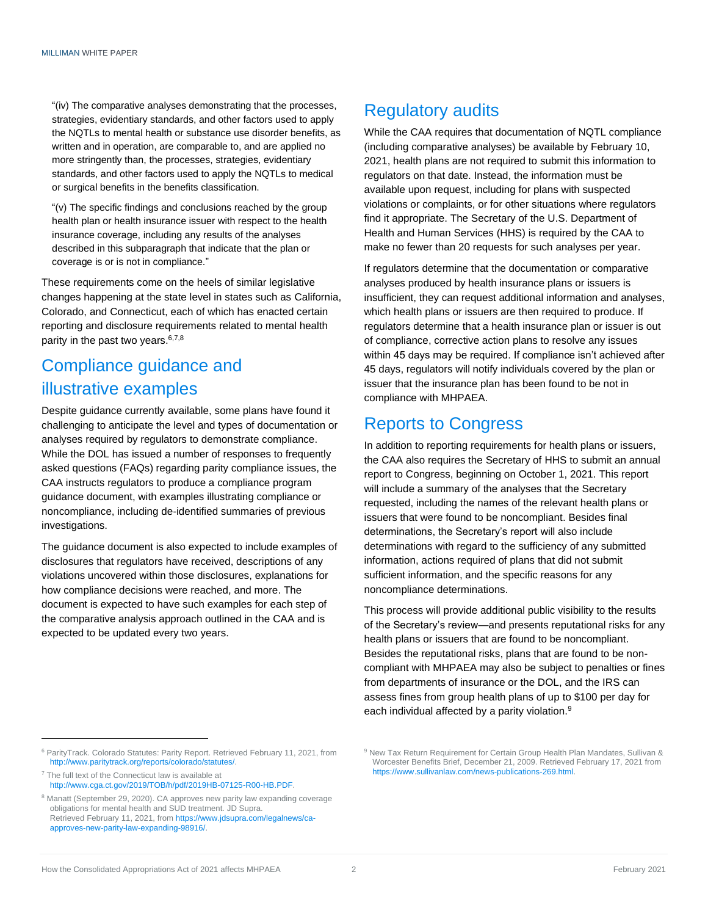"(iv) The comparative analyses demonstrating that the processes, strategies, evidentiary standards, and other factors used to apply the NQTLs to mental health or substance use disorder benefits, as written and in operation, are comparable to, and are applied no more stringently than, the processes, strategies, evidentiary standards, and other factors used to apply the NQTLs to medical or surgical benefits in the benefits classification.

"(v) The specific findings and conclusions reached by the group health plan or health insurance issuer with respect to the health insurance coverage, including any results of the analyses described in this subparagraph that indicate that the plan or coverage is or is not in compliance."

These requirements come on the heels of similar legislative changes happening at the state level in states such as California, Colorado, and Connecticut, each of which has enacted certain reporting and disclosure requirements related to mental health parity in the past two years.<sup>6,7,8</sup>

#### Compliance guidance and illustrative examples

Despite guidance currently available, some plans have found it challenging to anticipate the level and types of documentation or analyses required by regulators to demonstrate compliance. While the DOL has issued a number of responses to frequently asked questions (FAQs) regarding parity compliance issues, the CAA instructs regulators to produce a compliance program guidance document, with examples illustrating compliance or noncompliance, including de-identified summaries of previous investigations.

The guidance document is also expected to include examples of disclosures that regulators have received, descriptions of any violations uncovered within those disclosures, explanations for how compliance decisions were reached, and more. The document is expected to have such examples for each step of the comparative analysis approach outlined in the CAA and is expected to be updated every two years.

#### Regulatory audits

While the CAA requires that documentation of NQTL compliance (including comparative analyses) be available by February 10, 2021, health plans are not required to submit this information to regulators on that date. Instead, the information must be available upon request, including for plans with suspected violations or complaints, or for other situations where regulators find it appropriate. The Secretary of the U.S. Department of Health and Human Services (HHS) is required by the CAA to make no fewer than 20 requests for such analyses per year.

If regulators determine that the documentation or comparative analyses produced by health insurance plans or issuers is insufficient, they can request additional information and analyses, which health plans or issuers are then required to produce. If regulators determine that a health insurance plan or issuer is out of compliance, corrective action plans to resolve any issues within 45 days may be required. If compliance isn't achieved after 45 days, regulators will notify individuals covered by the plan or issuer that the insurance plan has been found to be not in compliance with MHPAEA.

#### Reports to Congress

In addition to reporting requirements for health plans or issuers, the CAA also requires the Secretary of HHS to submit an annual report to Congress, beginning on October 1, 2021. This report will include a summary of the analyses that the Secretary requested, including the names of the relevant health plans or issuers that were found to be noncompliant. Besides final determinations, the Secretary's report will also include determinations with regard to the sufficiency of any submitted information, actions required of plans that did not submit sufficient information, and the specific reasons for any noncompliance determinations.

This process will provide additional public visibility to the results of the Secretary's review—and presents reputational risks for any health plans or issuers that are found to be noncompliant. Besides the reputational risks, plans that are found to be noncompliant with MHPAEA may also be subject to penalties or fines from departments of insurance or the DOL, and the IRS can assess fines from group health plans of up to \$100 per day for each individual affected by a parity violation.<sup>9</sup>

9 New Tax Return Requirement for Certain Group Health Plan Mandates, Sullivan & Worcester Benefits Brief, December 21, 2009. Retrieved February 17, 2021 from

[https://www.sullivanlaw.com/news-publications-269.html.](https://www.sullivanlaw.com/news-publications-269.html)

<sup>6</sup> ParityTrack. Colorado Statutes: Parity Report. Retrieved February 11, 2021, from [http://www.paritytrack.org/reports/colorado/statutes/.](http://www.paritytrack.org/reports/colorado/statutes/)

 $7$  The full text of the Connecticut law is available at [http://www.cga.ct.gov/2019/TOB/h/pdf/2019HB-07125-R00-HB.PDF.](http://www.cga.ct.gov/2019/TOB/h/pdf/2019HB-07125-R00-HB.PDF)

 $8$  Manatt (September 29, 2020). CA approves new parity law expanding coverage obligations for mental health and SUD treatment. JD Supra. Retrieved February 11, 2021, fro[m https://www.jdsupra.com/legalnews/ca](https://www.jdsupra.com/legalnews/ca-approves-new-parity-law-expanding-98916/)[approves-new-parity-law-expanding-98916/.](https://www.jdsupra.com/legalnews/ca-approves-new-parity-law-expanding-98916/)